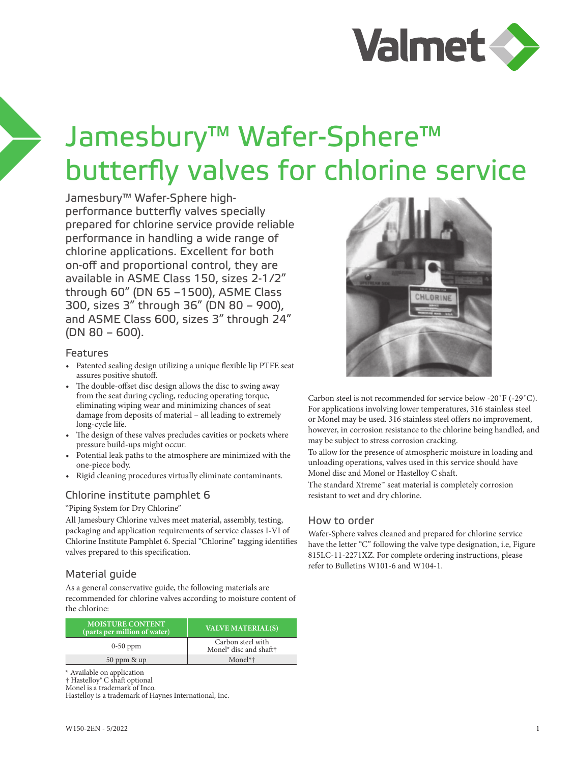

# Jamesbury™ Wafer-Sphere™ butterfly valves for chlorine service

Jamesbury™ Wafer-Sphere highperformance butterfly valves specially prepared for chlorine service provide reliable performance in handling a wide range of chlorine applications. Excellent for both on-off and proportional control, they are available in ASME Class 150, sizes 2-1/2" through 60" (DN 65 –1500), ASME Class 300, sizes 3" through 36" (DN 80 – 900), and ASME Class 600, sizes 3" through 24" (DN 80 – 600).

### Features

- Patented sealing design utilizing a unique flexible lip PTFE seat assures positive shutoff.
- The double-offset disc design allows the disc to swing away from the seat during cycling, reducing operating torque, eliminating wiping wear and minimizing chances of seat damage from deposits of material – all leading to extremely long-cycle life.
- The design of these valves precludes cavities or pockets where pressure build-ups might occur.
- Potential leak paths to the atmosphere are minimized with the one-piece body.
- Rigid cleaning procedures virtually eliminate contaminants.

## Chlorine institute pamphlet 6

### "Piping System for Dry Chlorine"

All Jamesbury Chlorine valves meet material, assembly, testing, packaging and application requirements of service classes I-VI of Chlorine Institute Pamphlet 6. Special "Chlorine" tagging identifies valves prepared to this specification.

## Material guide

As a general conservative guide, the following materials are recommended for chlorine valves according to moisture content of the chlorine:

| <b>MOISTURE CONTENT</b><br>(parts per million of water) | <b>VALVE MATERIAL(S)</b>                                |
|---------------------------------------------------------|---------------------------------------------------------|
| $0-50$ ppm                                              | Carbon steel with<br>Monel <sup>®</sup> disc and shaft† |
| 50 ppm & up                                             | $Monel*†$                                               |

\* Available on application

† Hastelloy® C shaft optional

Monel is a trademark of Inco.

Hastelloy is a trademark of Haynes International, Inc.



Carbon steel is not recommended for service below -20˚F (-29˚C). For applications involving lower temperatures, 316 stainless steel or Monel may be used. 316 stainless steel offers no improvement, however, in corrosion resistance to the chlorine being handled, and may be subject to stress corrosion cracking.

To allow for the presence of atmospheric moisture in loading and unloading operations, valves used in this service should have Monel disc and Monel or Hastelloy C shaft.

The standard Xtreme™ seat material is completely corrosion resistant to wet and dry chlorine.

## How to order

Wafer-Sphere valves cleaned and prepared for chlorine service have the letter "C" following the valve type designation, i.e, Figure 815LC-11-2271XZ. For complete ordering instructions, please refer to Bulletins W101-6 and W104-1.